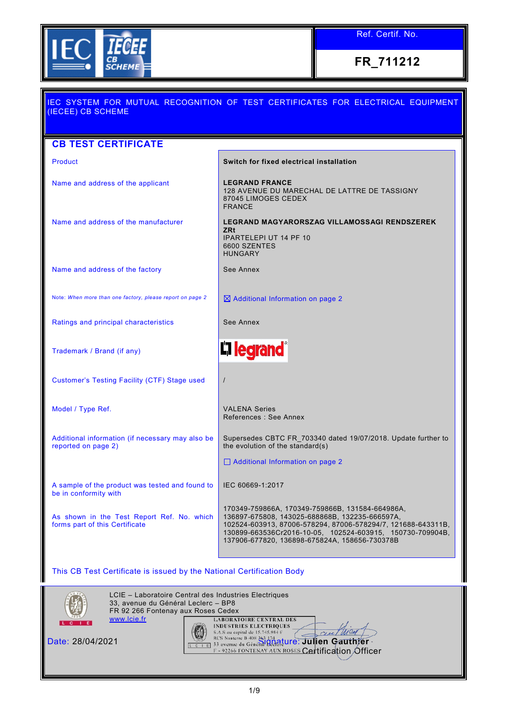

Ref. Certif. No.

**FR\_711212**

| IEC SYSTEM FOR MUTUAL RECOGNITION OF TEST CERTIFICATES FOR ELECTRICAL EQUIPMENT                                                                                                                                                                                                 |
|---------------------------------------------------------------------------------------------------------------------------------------------------------------------------------------------------------------------------------------------------------------------------------|
|                                                                                                                                                                                                                                                                                 |
|                                                                                                                                                                                                                                                                                 |
| Switch for fixed electrical installation                                                                                                                                                                                                                                        |
| <b>LEGRAND FRANCE</b><br>128 AVENUE DU MARECHAL DE LATTRE DE TASSIGNY<br>87045 LIMOGES CEDEX<br><b>FRANCE</b>                                                                                                                                                                   |
| LEGRAND MAGYARORSZAG VILLAMOSSAGI RENDSZEREK<br><b>ZRt</b><br><b>IPARTELEPI UT 14 PF 10</b><br>6600 SZENTES<br><b>HUNGARY</b>                                                                                                                                                   |
| See Annex                                                                                                                                                                                                                                                                       |
| $\boxtimes$ Additional Information on page 2                                                                                                                                                                                                                                    |
| See Annex                                                                                                                                                                                                                                                                       |
| <b>L'Ilegrand</b>                                                                                                                                                                                                                                                               |
| $\prime$                                                                                                                                                                                                                                                                        |
| <b>VALENA Series</b><br>References : See Annex                                                                                                                                                                                                                                  |
| Supersedes CBTC FR 703340 dated 19/07/2018. Update further to<br>the evolution of the standard(s)                                                                                                                                                                               |
| Additional Information on page 2                                                                                                                                                                                                                                                |
| IEC 60669-1:2017                                                                                                                                                                                                                                                                |
| 170349-759866A, 170349-759866B, 131584-664986A,<br>136897-675808, 143025-688868B, 132235-666597A,<br>102524-603913, 87006-578294, 87006-578294/7, 121688-643311B,<br>130899-663536Cr2016-10-05, 102524-603915, 150730-709904B,<br>137906-677820, 136898-675824A, 158656-730378B |
|                                                                                                                                                                                                                                                                                 |

This CB Test Certificate is issued by the National Certification Body



LCIE – Laboratoire Central des Industries Electriques 33, avenue du Général Leclerc – BP8 FR 92 266 Fontenay aux Roses Cedex<br>www.lcie.fr **LABORATOIRE CENTRAL DES** [www.lcie.fr](http://www.lcie.fr/) **INDUSTRIES ELECTRIQUES** 



Date: 28/04/2021 Signature: **Julien Gauthier** Certification Officer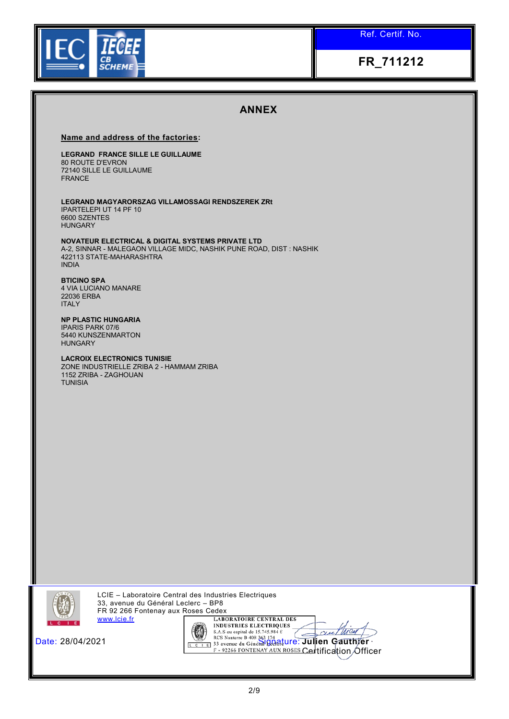Ref. Certif. No.

# **FR\_711212**

## **ANNEX**

#### **Name and address of the factories:**

### **LEGRAND FRANCE SILLE LE GUILLAUME**

80 ROUTE D'EVRON 72140 SILLE LE GUILLAUME FRANCE

**LEGRAND MAGYARORSZAG VILLAMOSSAGI RENDSZEREK ZRt**  IPARTELEPI UT 14 PF 10 6600 SZENTES HUNGARY

**NOVATEUR ELECTRICAL & DIGITAL SYSTEMS PRIVATE LTD**  A-2, SINNAR - MALEGAON VILLAGE MIDC, NASHIK PUNE ROAD, DIST : NASHIK 422113 STATE-MAHARASHTRA INDIA

#### **BTICINO SPA**  4 VIA LUCIANO MANARE 22036 ERBA

ITALY

**NP PLASTIC HUNGARIA**  IPARIS PARK 07/6 5440 KUNSZENMARTON **HUNGARY** 

#### **LACROIX ELECTRONICS TUNISIE**  ZONE INDUSTRIELLE ZRIBA 2 - HAMMAM ZRIBA 1152 ZRIBA - ZAGHOUAN **TUNISIA**



LCIE – Laboratoire Central des Industries Electriques 33, avenue du Général Leclerc – BP8 FR 92 266 Fontenay aux Roses Cedex<br>www.lcie.fr [ LABORATOIRE CENTRAL DES [www.lcie.fr](http://www.lcie.fr/)



Date: 28/04/2021 **Signature:** *Signature***: Julien Gauthier Cel**tification **O**fficer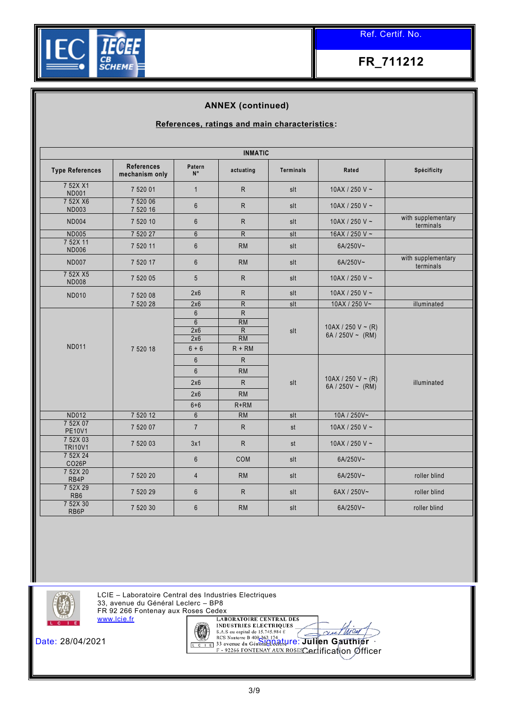

### **ANNEX (continued)**

### **References, ratings and main characteristics:**

| <b>INMATIC</b>                 |                                     |                       |                |                  |                                          |                                 |  |
|--------------------------------|-------------------------------------|-----------------------|----------------|------------------|------------------------------------------|---------------------------------|--|
| <b>Type References</b>         | <b>References</b><br>mechanism only | Patern<br>$N^{\circ}$ | actuating      | <b>Terminals</b> | Rated                                    | Spécificity                     |  |
| 7 52X X1<br><b>ND001</b>       | 7 520 01                            | $\mathbf{1}$          | R.             | slt              | 10AX / 250 V ~                           |                                 |  |
| 7 52X X6<br><b>ND003</b>       | 7 520 06<br>7 520 16                | $6\phantom{1}$        | R              | slt              | 10AX / 250 V ~                           |                                 |  |
| <b>ND004</b>                   | 7 520 10                            | $6\phantom{1}$        | R              | slt              | 10AX / 250 V ~                           | with supplementary<br>terminals |  |
| <b>ND005</b>                   | 7 520 27                            | $6\phantom{1}$        | $\overline{R}$ | slt              | 16AX / 250 V ~                           |                                 |  |
| 7 52X 11<br><b>ND006</b>       | 7 520 11                            | $6\phantom{1}$        | <b>RM</b>      | slt              | 6A/250V~                                 |                                 |  |
| <b>ND007</b>                   | 7 520 17                            | $6\phantom{1}$        | RM             | slt              | 6A/250V~                                 | with supplementary<br>terminals |  |
| 7 52X X5<br><b>ND008</b>       | 7 520 05                            | 5                     | R.             | slt              | 10AX / 250 V ~                           |                                 |  |
| <b>ND010</b>                   | 7 520 08                            | 2x6                   | R.             | slt              | 10AX / 250 V ~                           |                                 |  |
|                                | 7 520 28                            | 2x6                   | R              | slt              | 10AX / 250 V~                            | illuminated                     |  |
|                                |                                     | 6                     | R              |                  | 10AX / 250 V ~ (R)<br>6A / 250V ~ $(RM)$ |                                 |  |
|                                |                                     | 6                     | RM             |                  |                                          |                                 |  |
|                                |                                     | 2x6                   | R              | slt              |                                          |                                 |  |
|                                |                                     | 2x6                   | <b>RM</b>      |                  |                                          |                                 |  |
| <b>ND011</b>                   | 7 520 18                            | $6 + 6$               | $R + RM$       |                  |                                          |                                 |  |
|                                |                                     | $6\phantom{1}$        | R              |                  |                                          |                                 |  |
|                                |                                     | $6\phantom{1}$        | <b>RM</b>      |                  |                                          |                                 |  |
|                                |                                     | 2x6                   | ${\sf R}$      | slt              | 10AX / 250 V ~ (R)<br>6A / 250V ~ $(RM)$ | illuminated                     |  |
|                                |                                     | 2x6                   | <b>RM</b>      |                  |                                          |                                 |  |
|                                |                                     | $6 + 6$               | $R+RM$         |                  |                                          |                                 |  |
| <b>ND012</b>                   | 7 520 12                            | $6\phantom{1}$        | RM             | slt              | 10A / 250V~                              |                                 |  |
| 7 52X 07<br><b>PE10V1</b>      | 7 520 07                            | $\overline{7}$        | R.             | st               | 10AX / 250 V ~                           |                                 |  |
| 7 52X 03<br><b>TRI10V1</b>     | 7 520 03                            | 3x1                   | R.             | st               | 10AX / 250 V $\sim$                      |                                 |  |
| 7 52X 24<br>CO <sub>26</sub> P |                                     | $6\phantom{1}$        | COM            | slt              | 6A/250V~                                 |                                 |  |
| 7 52X 20<br>RB4P               | 7 520 20                            | $\overline{4}$        | <b>RM</b>      | slt              | 6A/250V~                                 | roller blind                    |  |
| 7 52X 29<br>RB <sub>6</sub>    | 7 520 29                            | $\boldsymbol{6}$      | $\mathsf{R}$   | slt              | 6AX / 250V~                              | roller blind                    |  |
| 7 52X 30<br>RB6P               | 7 520 30                            | $6\phantom{1}$        | <b>RM</b>      | slt              | 6A/250V~                                 | roller blind                    |  |



LCIE – Laboratoire Central des Industries Electriques 33, avenue du Général Leclerc – BP8 FR 92 266 Fontenay aux Roses Cedex [www.lcie.fr](http://www.lcie.fr/)



Date: 28/04/2021 **Signal Construction Construction** Section Construction Construction Cauthier **Cerl**ification Øfficer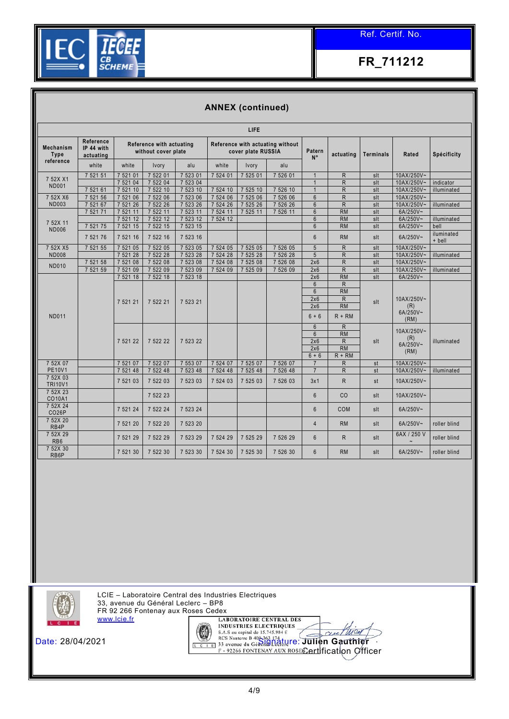

### **ANNEX (continued)**

| Reference<br>Reference with actuating without<br>Reference with actuating<br><b>Mechanism</b><br>IP 44 with<br>without cover plate<br>cover plate RUSSIA<br>Patern<br><b>Type</b><br>actuating<br>actuating<br>$N^{\circ}$<br>reference<br>white<br>white<br>white<br>Ivory<br>alu<br>Ivory<br>alu<br>7 522 01<br>7 523 01<br>7 524 01<br>7 525 01<br>7 521 51<br>7 521 01<br>7 526 01<br>$\mathsf{R}$<br>$\overline{1}$<br>7 52X X1<br>$\overline{R}$<br>7 522 04<br>7 523 04<br>7 521 04<br>$\overline{1}$<br><b>ND001</b><br>7 522 10<br>7 521 61<br>7 521 10<br>7 523 10<br>7 524 10<br>7 525 10<br>7 526 10<br>$\mathsf{R}$<br>$\overline{1}$<br>7 521 06<br>7 522 06<br>7 523 06<br>7 524 06<br>7 525 06<br>7 526 06<br>$\mathsf{R}$<br>7 521 56<br>$6\phantom{1}$<br>7 52X X6<br><b>ND003</b><br>7 521 67<br>7 522 26<br>7 523 26<br>7 524 26<br>7 525 26<br>7 526 26<br>$\mathsf{R}$<br>7 521 26<br>$6\phantom{1}$ | slt<br>slt<br>slt<br>slt<br>slt<br>slt | <b>Terminals</b> | Rated<br>10AX/250V~<br>10AX/250V~ | Spécificity  |
|----------------------------------------------------------------------------------------------------------------------------------------------------------------------------------------------------------------------------------------------------------------------------------------------------------------------------------------------------------------------------------------------------------------------------------------------------------------------------------------------------------------------------------------------------------------------------------------------------------------------------------------------------------------------------------------------------------------------------------------------------------------------------------------------------------------------------------------------------------------------------------------------------------------------------|----------------------------------------|------------------|-----------------------------------|--------------|
|                                                                                                                                                                                                                                                                                                                                                                                                                                                                                                                                                                                                                                                                                                                                                                                                                                                                                                                            |                                        |                  |                                   |              |
|                                                                                                                                                                                                                                                                                                                                                                                                                                                                                                                                                                                                                                                                                                                                                                                                                                                                                                                            |                                        |                  |                                   |              |
|                                                                                                                                                                                                                                                                                                                                                                                                                                                                                                                                                                                                                                                                                                                                                                                                                                                                                                                            |                                        |                  |                                   |              |
|                                                                                                                                                                                                                                                                                                                                                                                                                                                                                                                                                                                                                                                                                                                                                                                                                                                                                                                            |                                        |                  |                                   | indicator    |
|                                                                                                                                                                                                                                                                                                                                                                                                                                                                                                                                                                                                                                                                                                                                                                                                                                                                                                                            |                                        |                  | 10AX/250V~                        | illuminated  |
|                                                                                                                                                                                                                                                                                                                                                                                                                                                                                                                                                                                                                                                                                                                                                                                                                                                                                                                            |                                        |                  | 10AX/250V~                        |              |
|                                                                                                                                                                                                                                                                                                                                                                                                                                                                                                                                                                                                                                                                                                                                                                                                                                                                                                                            |                                        |                  | 10AX/250V~<br>6A/250V~            | illuminated  |
| 7 522 11<br>7 523 11<br>7 525 11<br><b>RM</b><br>7 5 21 71<br>7 5 2 1 1 1<br>7 5 24 11<br>7 526 11<br>$6\phantom{1}$<br><b>RM</b><br>7 521 12<br>7 522 12<br>7 523 12<br>$6\phantom{1}$<br>7 524 12                                                                                                                                                                                                                                                                                                                                                                                                                                                                                                                                                                                                                                                                                                                        | slt                                    |                  | 6A/250V~                          | illuminated  |
| 7 52X 11<br>7 521 75<br>7 522 15<br>7 523 15<br>6<br><b>RM</b><br>7 521 15                                                                                                                                                                                                                                                                                                                                                                                                                                                                                                                                                                                                                                                                                                                                                                                                                                                 | slt                                    |                  | 6A/250V~                          | bell         |
| <b>ND006</b>                                                                                                                                                                                                                                                                                                                                                                                                                                                                                                                                                                                                                                                                                                                                                                                                                                                                                                               |                                        |                  |                                   | iluminated   |
| 7 521 16<br>7 522 16<br>7 523 16<br>$6\phantom{1}$<br><b>RM</b><br>7 521 76                                                                                                                                                                                                                                                                                                                                                                                                                                                                                                                                                                                                                                                                                                                                                                                                                                                | slt                                    |                  | 6A/250V~                          | + bell       |
| 7 521 05<br>7 522 05<br>7 523 05<br>7 524 05<br>7 525 05<br>7 526 05<br>5<br>$\mathsf{R}$<br>7 521 55<br>7 52X X5                                                                                                                                                                                                                                                                                                                                                                                                                                                                                                                                                                                                                                                                                                                                                                                                          | slt                                    |                  | 10AX/250V~                        |              |
| $\overline{R}$<br>7 522 28<br>7 523 28<br>7 524 28<br>7 525 28<br>5<br><b>ND008</b><br>7 521 28<br>7 526 28                                                                                                                                                                                                                                                                                                                                                                                                                                                                                                                                                                                                                                                                                                                                                                                                                | slt                                    |                  | 10AX/250V~                        | illuminated  |
| $\mathsf{R}$<br>7 521 58<br>7 521 08<br>7 522 08<br>7 523 08<br>7 524 08<br>7 525 08<br>7 526 08<br>2x6<br><b>ND010</b>                                                                                                                                                                                                                                                                                                                                                                                                                                                                                                                                                                                                                                                                                                                                                                                                    | slt                                    |                  | 10AX/250V~                        |              |
| 7 522 09<br>$\mathsf{R}$<br>7 521 59<br>7 521 09<br>7 523 09<br>7 524 09<br>7 525 09<br>7 526 09<br>2x6<br>7 523 18<br><b>RM</b>                                                                                                                                                                                                                                                                                                                                                                                                                                                                                                                                                                                                                                                                                                                                                                                           | slt                                    |                  | 10AX/250V~                        | illuminated  |
| 7 522 18<br>7 521 18<br>2x6<br>$\mathsf{R}$<br>6                                                                                                                                                                                                                                                                                                                                                                                                                                                                                                                                                                                                                                                                                                                                                                                                                                                                           | slt                                    |                  | 6A/250V~                          |              |
| <b>RM</b><br>$6\phantom{1}$                                                                                                                                                                                                                                                                                                                                                                                                                                                                                                                                                                                                                                                                                                                                                                                                                                                                                                |                                        |                  |                                   |              |
| 2x6<br>$\mathsf{R}$                                                                                                                                                                                                                                                                                                                                                                                                                                                                                                                                                                                                                                                                                                                                                                                                                                                                                                        |                                        | 10AX/250V~       |                                   |              |
| 7 521 21<br>7 522 21<br>7 523 21<br><b>RM</b><br>2x6                                                                                                                                                                                                                                                                                                                                                                                                                                                                                                                                                                                                                                                                                                                                                                                                                                                                       | slt                                    |                  | (R)                               |              |
| <b>ND011</b><br>$6 + 6$<br>$R + RM$                                                                                                                                                                                                                                                                                                                                                                                                                                                                                                                                                                                                                                                                                                                                                                                                                                                                                        |                                        |                  | 6A/250V~<br>(RM)                  |              |
| $6\phantom{1}$<br>$\mathsf{R}$                                                                                                                                                                                                                                                                                                                                                                                                                                                                                                                                                                                                                                                                                                                                                                                                                                                                                             |                                        |                  |                                   |              |
| <b>RM</b><br>$6\overline{6}$                                                                                                                                                                                                                                                                                                                                                                                                                                                                                                                                                                                                                                                                                                                                                                                                                                                                                               |                                        |                  | 10AX/250V~<br>(R)                 |              |
| 2x6<br>$\mathsf{R}$<br>7 521 22<br>7 523 22<br>7 522 22                                                                                                                                                                                                                                                                                                                                                                                                                                                                                                                                                                                                                                                                                                                                                                                                                                                                    | slt                                    |                  | 6A/250V~                          | illuminated  |
| <b>RM</b><br>2x6                                                                                                                                                                                                                                                                                                                                                                                                                                                                                                                                                                                                                                                                                                                                                                                                                                                                                                           |                                        |                  | (RM)                              |              |
| $6 + 6$<br>$R + RM$<br>7 521 07<br>7 522 07<br>7 553 07<br>7 524 07<br>7 525 07<br>7 526 07                                                                                                                                                                                                                                                                                                                                                                                                                                                                                                                                                                                                                                                                                                                                                                                                                                |                                        |                  | 10AX/250V~                        |              |
| $\mathsf{R}$<br>7 52X 07<br>$\overline{7}$<br><b>PE10V1</b><br>7 5 2 1 4 8<br>7 522 48<br>7 523 48<br>7 524 48<br>7 525 48<br>7 5 2 6 4 8<br>$\overline{7}$<br>$\mathsf{R}$                                                                                                                                                                                                                                                                                                                                                                                                                                                                                                                                                                                                                                                                                                                                                | st<br>st                               |                  | 10AX/250V~                        | illuminated  |
| 7 52X 03<br>$\mathsf{R}$<br>7 521 03<br>7 522 03<br>7 523 03<br>7 524 03<br>7 525 03<br>7 526 03<br>3x1                                                                                                                                                                                                                                                                                                                                                                                                                                                                                                                                                                                                                                                                                                                                                                                                                    | st                                     |                  | 10AX/250V~                        |              |
| <b>TRI10V1</b>                                                                                                                                                                                                                                                                                                                                                                                                                                                                                                                                                                                                                                                                                                                                                                                                                                                                                                             |                                        |                  |                                   |              |
| 7 52X 23<br>7 522 23<br>$6\overline{6}$<br>CO<br>CO10A1                                                                                                                                                                                                                                                                                                                                                                                                                                                                                                                                                                                                                                                                                                                                                                                                                                                                    | slt                                    |                  | 10AX/250V~                        |              |
| 7 52X 24<br>7 521 24<br>$6\phantom{1}$<br>7 522 24<br>7 523 24<br>COM<br><b>CO26P</b>                                                                                                                                                                                                                                                                                                                                                                                                                                                                                                                                                                                                                                                                                                                                                                                                                                      | slt                                    |                  | 6A/250V~                          |              |
| 7 52X 20<br>7 521 20<br>7 522 20<br>7 523 20<br><b>RM</b><br>$\overline{4}$<br>RB4P                                                                                                                                                                                                                                                                                                                                                                                                                                                                                                                                                                                                                                                                                                                                                                                                                                        | slt                                    |                  | 6A/250V~                          | roller blind |
| 7 52X 29<br>$6\phantom{1}$<br>$\mathsf{R}$<br>7 521 29<br>7 523 29<br>7 524 29<br>7 526 29<br>7 522 29<br>7 525 29<br>RB <sub>6</sub>                                                                                                                                                                                                                                                                                                                                                                                                                                                                                                                                                                                                                                                                                                                                                                                      | slt                                    |                  | 6AX / 250 V                       | roller blind |
| 7 52X 30<br>$6\overline{6}$<br><b>RM</b><br>7 521 30<br>7 522 30<br>7 523 30<br>7 524 30<br>7 525 30<br>7 526 30<br>RB6P                                                                                                                                                                                                                                                                                                                                                                                                                                                                                                                                                                                                                                                                                                                                                                                                   | slt                                    |                  | 6A/250V~                          | roller blind |



LCIE – Laboratoire Central des Industries Electriques 33, avenue du Général Leclerc – BP8 FR 92 266 Fontenay aux Roses Cedex [www.lcie.fr](http://www.lcie.fr/) **LABORATOIRE CENTRAL DES** 



Date: 28/04/2021 **Signature: State State State State State State State State State State State State State State State State State State State State State State State State State State State State State State State State S** Certification Officer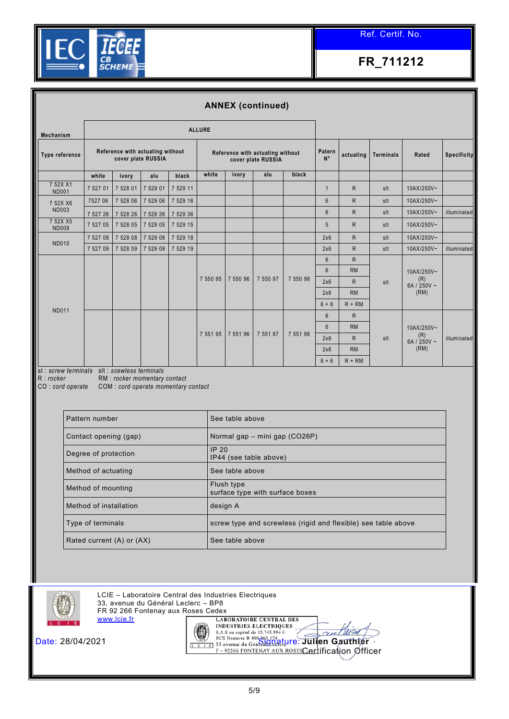

|                                                                                |                      |                                                        |          |                                     |               |            | <b>ANNEX (continued)</b>                               |          |                       |              |                  |                          |                    |  |  |
|--------------------------------------------------------------------------------|----------------------|--------------------------------------------------------|----------|-------------------------------------|---------------|------------|--------------------------------------------------------|----------|-----------------------|--------------|------------------|--------------------------|--------------------|--|--|
| <b>Mechanism</b>                                                               |                      |                                                        |          |                                     | <b>ALLURE</b> |            |                                                        |          |                       |              |                  |                          |                    |  |  |
| Type reference                                                                 |                      | Reference with actuating without<br>cover plate RUSSIA |          |                                     |               |            | Reference with actuating without<br>cover plate RUSSIA |          | Patern<br>$N^{\circ}$ | actuating    | <b>Terminals</b> | Rated                    | <b>Specificity</b> |  |  |
|                                                                                | white                | ivory                                                  | alu      | black                               | white         | ivory      | alu                                                    | black    |                       |              |                  |                          |                    |  |  |
| 7 52X X1<br><b>ND001</b>                                                       | 7 527 01             | 7 528 01                                               | 7 529 01 | 7 529 11                            |               |            |                                                        |          | $\overline{1}$        | $\mathsf{R}$ | slt              | 10AX/250V~               |                    |  |  |
| 7 52X X6                                                                       | 7527 06              | 7 528 06                                               | 7 529 06 | 7 529 16                            |               |            |                                                        |          | $6\overline{6}$       | $\mathsf{R}$ | slt              | 10AX/250V~               |                    |  |  |
| <b>ND003</b>                                                                   | 7 527 26             | 7 528 26                                               | 7 529 26 | 7 529 36                            |               |            |                                                        |          | 6                     | ${\sf R}$    | slt              | 10AX/250V~               | illuminated        |  |  |
| 7 52X X5<br><b>ND008</b>                                                       | 7 527 05             | 7 528 05                                               | 7 529 05 | 7 529 15                            |               |            |                                                        |          | 5                     | $\mathsf{R}$ | slt              | 10AX/250V~               |                    |  |  |
|                                                                                | 7 527 08             | 7 528 08                                               | 7 529 08 | 7 5 2 9 1 8                         |               |            |                                                        |          | 2x6                   | ${\sf R}$    | slt              | 10AX/250V~               |                    |  |  |
| <b>ND010</b>                                                                   | 7 527 09             | 7 528 09                                               | 7 529 09 | 7 529 19                            |               |            |                                                        |          | 2x6                   | $\mathsf{R}$ | slt              | 10AX/250V~               | illuminated        |  |  |
|                                                                                |                      |                                                        |          |                                     |               |            |                                                        |          | $6\phantom{1}$        | ${\sf R}$    |                  | 10AX/250V~<br>(R)<br>slt |                    |  |  |
|                                                                                |                      |                                                        |          |                                     |               |            |                                                        |          | $6\overline{6}$       | <b>RM</b>    |                  |                          |                    |  |  |
|                                                                                |                      |                                                        |          |                                     | 7 550 95      | 7 550 96   | 7 550 97                                               | 7 550 98 | 2x6                   | $\mathsf{R}$ |                  |                          | 6A / 250V $\sim$   |  |  |
|                                                                                |                      |                                                        |          |                                     |               |            |                                                        |          | 2x6                   | <b>RM</b>    |                  | (RM)                     |                    |  |  |
| <b>ND011</b>                                                                   |                      |                                                        |          |                                     |               |            |                                                        |          | $6 + 6$               | $R + RM$     |                  |                          |                    |  |  |
|                                                                                |                      |                                                        |          |                                     |               |            |                                                        |          | $6\phantom{1}$        | $\mathsf{R}$ |                  |                          |                    |  |  |
|                                                                                |                      |                                                        |          |                                     | 7 551 95      | 7 551 96   | 7 551 97                                               | 7 551 98 | $6\overline{6}$       | <b>RM</b>    |                  | 10AX/250V~               |                    |  |  |
|                                                                                |                      |                                                        |          |                                     |               |            |                                                        |          | 2x6                   | $\mathsf{R}$ | slt              | (R)<br>6A / 250V ~       | illuminated        |  |  |
|                                                                                |                      |                                                        |          |                                     |               |            |                                                        |          | 2x6                   | <b>RM</b>    |                  | (RM)                     |                    |  |  |
|                                                                                |                      |                                                        |          |                                     |               |            |                                                        |          | $6 + 6$               | $R + RM$     |                  |                          |                    |  |  |
| st : screw terminals slt : scewless terminals<br>R:rocker<br>CO : cord operate |                      | RM : rocker momentary contact                          |          | COM: cord operate momentary contact |               |            |                                                        |          |                       |              |                  |                          |                    |  |  |
|                                                                                | $D = 44$ and $D = 1$ |                                                        |          |                                     |               | Control of |                                                        |          |                       |              |                  |                          |                    |  |  |

| Pattern number            | See table above                                               |
|---------------------------|---------------------------------------------------------------|
| Contact opening (gap)     | Normal gap – mini gap (CO26P)                                 |
| Degree of protection      | IP20<br>IP44 (see table above)                                |
| Method of actuating       | See table above                                               |
| Method of mounting        | Flush type<br>surface type with surface boxes                 |
| Method of installation    | design A                                                      |
| Type of terminals         | screw type and screwless (rigid and flexible) see table above |
| Rated current (A) or (AX) | See table above                                               |



LCIE – Laboratoire Central des Industries Electriques 33, avenue du Général Leclerc – BP8

FR 92 266 Fontenay aux Roses Cedex [www.lcie.fr](http://www.lcie.fr/)



**LABORATOIRE CENTRAL DES** Date: 28/04/2021 **Signature: Signature: Signature: Julien Gauthier** Certification Officer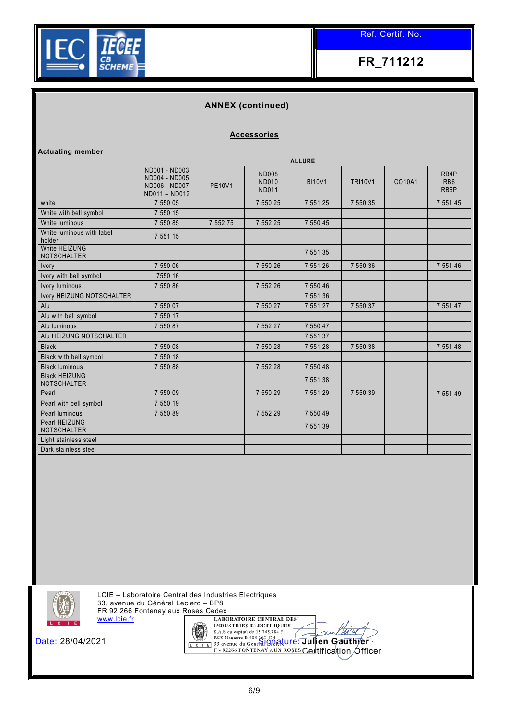

## **ANNEX (continued)**

#### **Accessories**

| <b>Actuating member</b>                    |                                                                  |               |                                              |               |                |        |                                 |
|--------------------------------------------|------------------------------------------------------------------|---------------|----------------------------------------------|---------------|----------------|--------|---------------------------------|
|                                            |                                                                  |               |                                              | <b>ALLURE</b> |                |        |                                 |
|                                            | ND001 - ND003<br>ND004 - ND005<br>ND006 - ND007<br>ND011 - ND012 | <b>PE10V1</b> | <b>ND008</b><br><b>ND010</b><br><b>ND011</b> | <b>BI10V1</b> | <b>TRI10V1</b> | CO10A1 | RB4P<br>RB <sub>6</sub><br>RB6P |
| white                                      | 7 550 05                                                         |               | 7 550 25                                     | 7 5 5 1 2 5   | 7 550 35       |        | 7 551 45                        |
| White with bell symbol                     | 7 550 15                                                         |               |                                              |               |                |        |                                 |
| White luminous                             | 7 550 85                                                         | 7 5 5 2 7 5   | 7 5 5 2 2 5                                  | 7 550 45      |                |        |                                 |
| White luminous with label<br>holder        | 7 5 5 1 1 5                                                      |               |                                              |               |                |        |                                 |
| White HEIZUNG<br><b>NOTSCHALTER</b>        |                                                                  |               |                                              | 7 551 35      |                |        |                                 |
| Ivory                                      | 7 550 06                                                         |               | 7 550 26                                     | 7 5 5 1 2 6   | 7 550 36       |        | 7 551 46                        |
| Ivory with bell symbol                     | 7550 16                                                          |               |                                              |               |                |        |                                 |
| Ivory luminous                             | 7 550 86                                                         |               | 7 552 26                                     | 7 550 46      |                |        |                                 |
| Ivory HEIZUNG NOTSCHALTER                  |                                                                  |               |                                              | 7 5 5 1 3 6   |                |        |                                 |
| Alu                                        | 7 550 07                                                         |               | 7 550 27                                     | 7 551 27      | 7 550 37       |        | 7 5 5 1 4 7                     |
| Alu with bell symbol                       | 7 550 17                                                         |               |                                              |               |                |        |                                 |
| Alu luminous                               | 7 550 87                                                         |               | 7 552 27                                     | 7 550 47      |                |        |                                 |
| Alu HEIZUNG NOTSCHALTER                    |                                                                  |               |                                              | 7 551 37      |                |        |                                 |
| <b>Black</b>                               | 7 550 08                                                         |               | 7 550 28                                     | 7 551 28      | 7 550 38       |        | 7 5 5 1 4 8                     |
| Black with bell symbol                     | 7 550 18                                                         |               |                                              |               |                |        |                                 |
| <b>Black luminous</b>                      | 7 550 88                                                         |               | 7 552 28                                     | 7 550 48      |                |        |                                 |
| <b>Black HEIZUNG</b><br><b>NOTSCHALTER</b> |                                                                  |               |                                              | 7 5 5 1 3 8   |                |        |                                 |
| Pearl                                      | 7 550 09                                                         |               | 7 550 29                                     | 7 551 29      | 7 550 39       |        | 7 551 49                        |
| Pearl with bell symbol                     | 7 550 19                                                         |               |                                              |               |                |        |                                 |
| Pearl luminous                             | 7 550 89                                                         |               | 7 552 29                                     | 7 550 49      |                |        |                                 |
| Pearl HEIZUNG<br><b>NOTSCHALTER</b>        |                                                                  |               |                                              | 7 5 5 1 3 9   |                |        |                                 |
| Light stainless steel                      |                                                                  |               |                                              |               |                |        |                                 |
| Dark stainless steel                       |                                                                  |               |                                              |               |                |        |                                 |



LCIE – Laboratoire Central des Industries Electriques 33, avenue du Général Leclerc – BP8 FR 92 266 Fontenay aux Roses Cedex [www.lcie.fr](http://www.lcie.fr/)



Date: 28/04/2021 **Signature:** *Signature***: Julien Gauthier** Certification Officer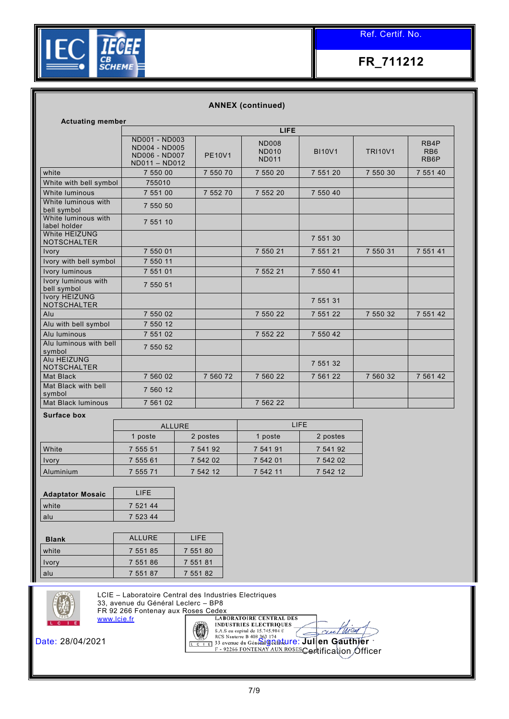

### **ANNEX (continued)**

| <b>Actuating member</b>                    |                                                                    |               |                                              |               |                |                                 |  |  |
|--------------------------------------------|--------------------------------------------------------------------|---------------|----------------------------------------------|---------------|----------------|---------------------------------|--|--|
|                                            |                                                                    |               | <b>LIFE</b>                                  |               |                |                                 |  |  |
|                                            | ND001 - ND003<br>ND004 - ND005<br>ND006 - ND007<br>$ND011 - ND012$ | <b>PE10V1</b> | <b>ND008</b><br><b>ND010</b><br><b>ND011</b> | <b>BI10V1</b> | <b>TRI10V1</b> | RB4P<br>RB <sub>6</sub><br>RB6P |  |  |
| white                                      | 7 550 00                                                           | 7 550 70      | 7 550 20                                     | 7 551 20      | 7 550 30       | 7 551 40                        |  |  |
| White with bell symbol                     | 755010                                                             |               |                                              |               |                |                                 |  |  |
| White luminous                             | 7 551 00                                                           | 7 552 70      | 7 552 20                                     | 7 550 40      |                |                                 |  |  |
| White luminous with<br>bell symbol         | 7 550 50                                                           |               |                                              |               |                |                                 |  |  |
| White luminous with<br>label holder        | 7 551 10                                                           |               |                                              |               |                |                                 |  |  |
| White HEIZUNG<br><b>NOTSCHALTER</b>        |                                                                    |               |                                              | 7 551 30      |                |                                 |  |  |
| Ivory                                      | 7 550 01                                                           |               | 7 550 21                                     | 7 551 21      | 7 550 31       | 7 551 41                        |  |  |
| Ivory with bell symbol                     | 7 550 11                                                           |               |                                              |               |                |                                 |  |  |
| <b>Ivory luminous</b>                      | 7 551 01                                                           |               | 7 552 21                                     | 7 550 41      |                |                                 |  |  |
| Ivory luminous with<br>bell symbol         | 7 550 51                                                           |               |                                              |               |                |                                 |  |  |
| <b>Ivory HEIZUNG</b><br><b>NOTSCHALTER</b> |                                                                    |               |                                              | 7 5 5 1 3 1   |                |                                 |  |  |
| Alu                                        | 7 550 02                                                           |               | 7 550 22                                     | 7 551 22      | 7 550 32       | 7 551 42                        |  |  |
| Alu with bell symbol                       | 7 550 12                                                           |               |                                              |               |                |                                 |  |  |
| Alu luminous                               | 7 551 02                                                           |               | 7 552 22                                     | 7 550 42      |                |                                 |  |  |
| Alu luminous with bell<br>symbol           | 7 550 52                                                           |               |                                              |               |                |                                 |  |  |
| Alu HEIZUNG<br><b>NOTSCHALTER</b>          |                                                                    |               |                                              | 7 551 32      |                |                                 |  |  |
| <b>Mat Black</b>                           | 7 560 02                                                           | 7 560 72      | 7 560 22                                     | 7 561 22      | 7 560 32       | 7 561 42                        |  |  |
| Mat Black with bell<br>symbol              | 7 560 12                                                           |               |                                              |               |                |                                 |  |  |
| Mat Black luminous                         | 7 561 02                                                           |               | 7 562 22                                     |               |                |                                 |  |  |

#### **Surface box**

|              |          | <b>ALLURE</b> | <b>LIFE</b> |          |
|--------------|----------|---------------|-------------|----------|
|              | 1 poste  | 2 postes      | ' poste     | 2 postes |
| White        | 7 555 51 | 7 541 92      | 7 541 91    | 7 541 92 |
| <b>Ivory</b> | 7 555 61 | 7 542 02      | 7 542 01    | 7 542 02 |
| Aluminium    | 7 555 71 | 7 542 12      | 7 542 11    | 7 542 12 |

| <b>Adaptator Mosaic</b> | I IFF    |
|-------------------------|----------|
| white                   | 7 521 44 |
| alu                     | 7 523 44 |

| <b>Blank</b> | ALLURE   | LIFF.    |
|--------------|----------|----------|
| white        | 7 551 85 | 7 551 80 |
| <b>Ivory</b> | 7 551 86 | 7 551 81 |
| alu          | 7 551 87 | 7 551 82 |



LCIE – Laboratoire Central des Industries Electriques 33, avenue du Général Leclerc – BP8

FR 92 266 Fontenay aux Roses Cedex [www.lcie.fr](http://www.lcie.fr/)



<del>Cer</del>tification *O*fficer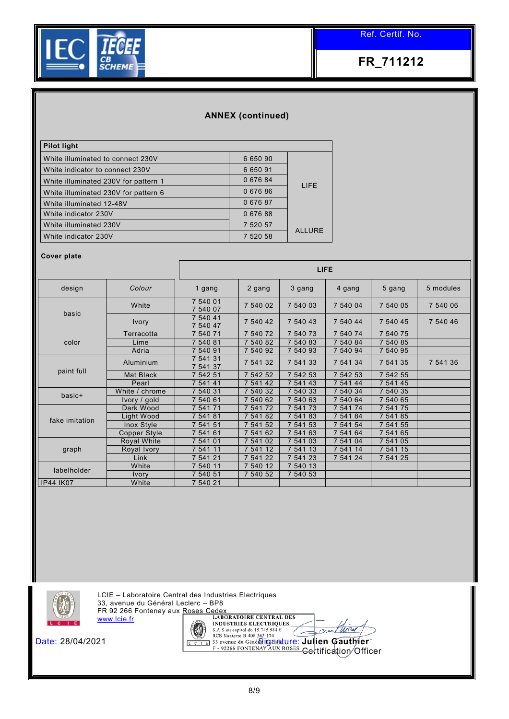

## **ANNEX (continued)**

| <b>Pilot light</b>                   |          |               |
|--------------------------------------|----------|---------------|
| White illuminated to connect 230V    | 6 650 90 |               |
| White indicator to connect 230V      | 6 650 91 |               |
| White illuminated 230V for pattern 1 | 0 676 84 | <b>LIFE</b>   |
| White illuminated 230V for pattern 6 | 067686   |               |
| White illuminated 12-48V             | 067687   |               |
| White indicator 230V                 | 067688   |               |
| White illuminated 230V               | 7 520 57 |               |
| White indicator 230V                 | 7 520 58 | <b>ALLURE</b> |

#### **Cover plate**

|                  |                  | <b>LIFE</b>          |             |          |          |          |           |  |
|------------------|------------------|----------------------|-------------|----------|----------|----------|-----------|--|
| design           | Colour           | 1 gang               | 2 gang      | 3 gang   | 4 gang   | 5 gang   | 5 modules |  |
| basic            | White            | 7 540 01<br>7 540 07 | 7 540 02    | 7 540 03 | 7 540 04 | 7 540 05 | 7 540 06  |  |
|                  | <b>Ivory</b>     | 7 540 41<br>7 540 47 | 7 540 42    | 7 540 43 | 7 540 44 | 7 540 45 | 7 540 46  |  |
|                  | Terracotta       | 7 540 71             | 7 540 72    | 7 540 73 | 7 540 74 | 7 540 75 |           |  |
| color            | Lime             | 7 540 81             | 540 82      | 7 540 83 | 7 540 84 | 7 540 85 |           |  |
|                  | Adria            | 7 540 91             | 7 540 92    | 7 540 93 | 7 540 94 | 7 540 95 |           |  |
|                  | Aluminium        | 7 541 31<br>7 541 37 | 7 541 32    | 7 541 33 | 7 541 34 | 7 541 35 | 7 541 36  |  |
| paint full       | <b>Mat Black</b> | 7 542 51             | 7 542 52    | 7 542 53 | 7 542 53 | 7 542 55 |           |  |
|                  | Pearl            | 7 541 41             | 7 541 42    | 7 541 43 | 7 541 44 | 7 541 45 |           |  |
| basic+           | White / chrome   | 7 540 31             | 7 540 32    | 7 540 33 | 7 540 34 | 7 540 35 |           |  |
|                  | Ivory / gold     | 7 540 61             | 540 62      | 7 540 63 | 7 540 64 | 7 540 65 |           |  |
|                  | Dark Wood        | 7 541 71             | 7 541 72    | 7 541 73 | 7 541 74 | 7 541 75 |           |  |
| fake imitation   | Light Wood       | 7 541 81             | 7 541 82    | 7 541 83 | 7 541 84 | 7 541 85 |           |  |
|                  | Inox Style       | 7 541 51             | 7 541 52    | 7 541 53 | 7 541 54 | 7 541 55 |           |  |
|                  | Copper Style     | 7 541 61             | 7 541<br>62 | 7 541 63 | 7 541 64 | 7 541 65 |           |  |
|                  | Royal White      | 7 541 01             | 7 541 02    | 7 541 03 | 7 541 04 | 7 541 05 |           |  |
| graph            | Royal Ivory      | 7 541 11             | 7 541 12    | 7 541 13 | 7 541 14 | 7 541 15 |           |  |
|                  | Link             | 7 541 21             | 7 541 22    | 7 541 23 | 7 541 24 | 7 541 25 |           |  |
| labelholder      | White            | 7 540 11             | 7 540 12    | 7 540 13 |          |          |           |  |
|                  | Ivory            | 7 540 51             | 7 540 52    | 7 540 53 |          |          |           |  |
| <b>IP44 IK07</b> | White            | 7 540 21             |             |          |          |          |           |  |



LCIE – Laboratoire Central des Industries Electriques 33, avenue du Général Leclerc – BP8 FR 92 266 Fontenay aux Roses Cedex [www.lcie.fr](http://www.lcie.fr/)